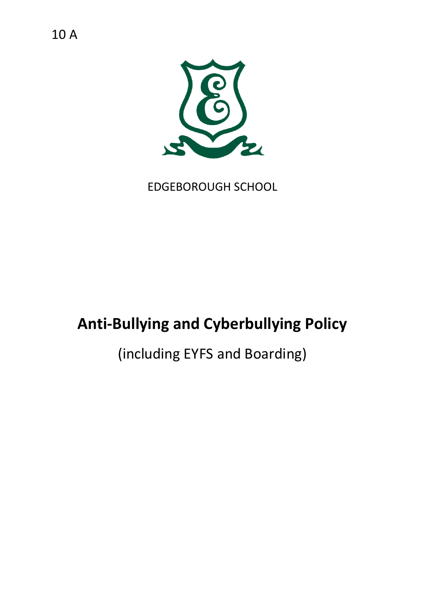10 A



EDGEBOROUGH SCHOOL

# **Anti-Bullying and Cyberbullying Policy**

# (including EYFS and Boarding)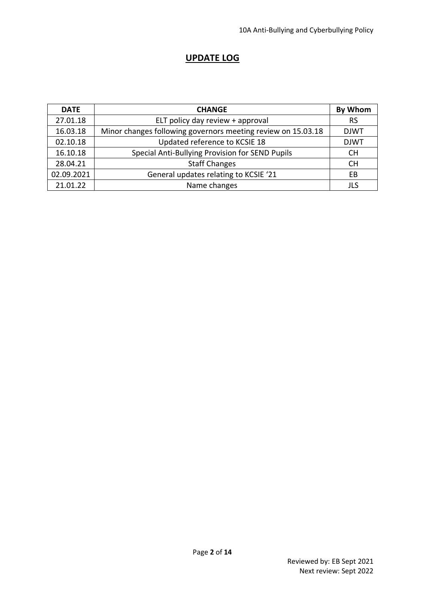#### **UPDATE LOG**

| <b>DATE</b> | <b>CHANGE</b>                                                | By Whom     |
|-------------|--------------------------------------------------------------|-------------|
| 27.01.18    | ELT policy day review + approval                             | <b>RS</b>   |
| 16.03.18    | Minor changes following governors meeting review on 15.03.18 | <b>DJWT</b> |
| 02.10.18    | Updated reference to KCSIE 18                                | <b>DJWT</b> |
| 16.10.18    | Special Anti-Bullying Provision for SEND Pupils              | <b>CH</b>   |
| 28.04.21    | <b>Staff Changes</b>                                         | <b>CH</b>   |
| 02.09.2021  | General updates relating to KCSIE '21                        |             |
| 21.01.22    | Name changes                                                 | JL S        |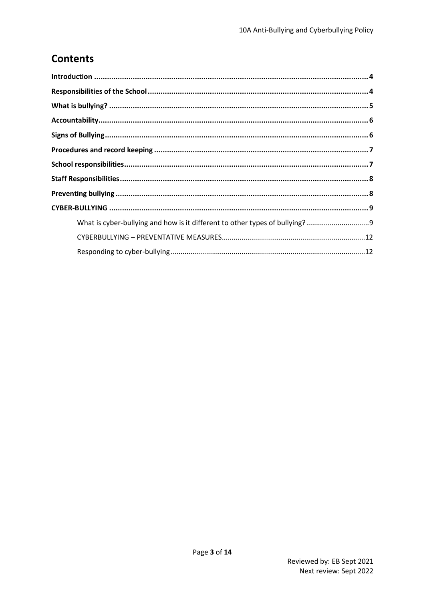# **Contents**

| What is cyber-bullying and how is it different to other types of bullying?9 |  |
|-----------------------------------------------------------------------------|--|
|                                                                             |  |
|                                                                             |  |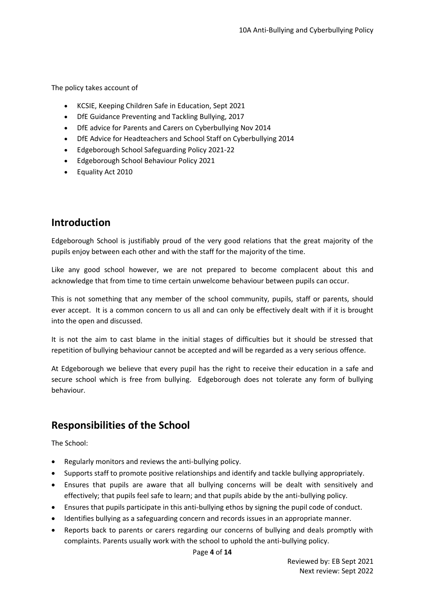The policy takes account of

- KCSIE, Keeping Children Safe in Education, Sept 2021
- DfE Guidance Preventing and Tackling Bullying, 2017
- DfE advice for Parents and Carers on Cyberbullying Nov 2014
- DfE Advice for Headteachers and School Staff on Cyberbullying 2014
- Edgeborough School Safeguarding Policy 2021-22
- Edgeborough School Behaviour Policy 2021
- Equality Act 2010

#### <span id="page-3-0"></span>**Introduction**

Edgeborough School is justifiably proud of the very good relations that the great majority of the pupils enjoy between each other and with the staff for the majority of the time.

Like any good school however, we are not prepared to become complacent about this and acknowledge that from time to time certain unwelcome behaviour between pupils can occur.

This is not something that any member of the school community, pupils, staff or parents, should ever accept. It is a common concern to us all and can only be effectively dealt with if it is brought into the open and discussed.

It is not the aim to cast blame in the initial stages of difficulties but it should be stressed that repetition of bullying behaviour cannot be accepted and will be regarded as a very serious offence.

At Edgeborough we believe that every pupil has the right to receive their education in a safe and secure school which is free from bullying. Edgeborough does not tolerate any form of bullying behaviour.

### <span id="page-3-1"></span>**Responsibilities of the School**

The School:

- Regularly monitors and reviews the anti-bullying policy.
- Supports staff to promote positive relationships and identify and tackle bullying appropriately.
- Ensures that pupils are aware that all bullying concerns will be dealt with sensitively and effectively; that pupils feel safe to learn; and that pupils abide by the anti-bullying policy.
- Ensures that pupils participate in this anti-bullying ethos by signing the pupil code of conduct.
- Identifies bullying as a safeguarding concern and records issues in an appropriate manner.
- Reports back to parents or carers regarding our concerns of bullying and deals promptly with complaints. Parents usually work with the school to uphold the anti-bullying policy.

Page **4** of **14**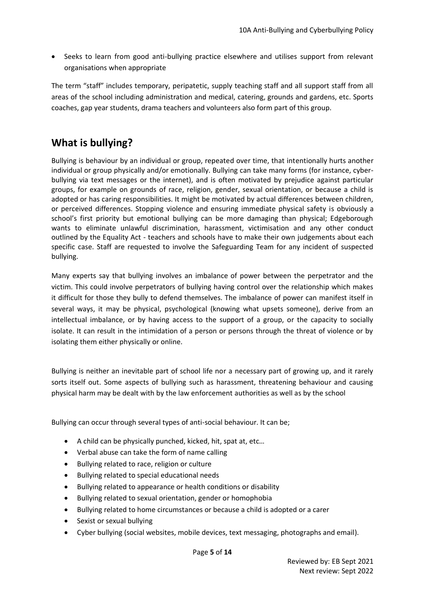• Seeks to learn from good anti-bullying practice elsewhere and utilises support from relevant organisations when appropriate

The term "staff" includes temporary, peripatetic, supply teaching staff and all support staff from all areas of the school including administration and medical, catering, grounds and gardens, etc. Sports coaches, gap year students, drama teachers and volunteers also form part of this group.

## <span id="page-4-0"></span>**What is bullying?**

Bullying is behaviour by an individual or group, repeated over time, that intentionally hurts another individual or group physically and/or emotionally. Bullying can take many forms (for instance, cyberbullying via text messages or the internet), and is often motivated by prejudice against particular groups, for example on grounds of race, religion, gender, sexual orientation, or because a child is adopted or has caring responsibilities. It might be motivated by actual differences between children, or perceived differences. Stopping violence and ensuring immediate physical safety is obviously a school's first priority but emotional bullying can be more damaging than physical; Edgeborough wants to eliminate unlawful discrimination, harassment, victimisation and any other conduct outlined by the Equality Act - teachers and schools have to make their own judgements about each specific case. Staff are requested to involve the Safeguarding Team for any incident of suspected bullying.

Many experts say that bullying involves an imbalance of power between the perpetrator and the victim. This could involve perpetrators of bullying having control over the relationship which makes it difficult for those they bully to defend themselves. The imbalance of power can manifest itself in several ways, it may be physical, psychological (knowing what upsets someone), derive from an intellectual imbalance, or by having access to the support of a group, or the capacity to socially isolate. It can result in the intimidation of a person or persons through the threat of violence or by isolating them either physically or online.

Bullying is neither an inevitable part of school life nor a necessary part of growing up, and it rarely sorts itself out. Some aspects of bullying such as harassment, threatening behaviour and causing physical harm may be dealt with by the law enforcement authorities as well as by the school

Bullying can occur through several types of anti-social behaviour. It can be;

- A child can be physically punched, kicked, hit, spat at, etc…
- Verbal abuse can take the form of name calling
- Bullying related to race, religion or culture
- Bullying related to special educational needs
- Bullying related to appearance or health conditions or disability
- Bullying related to sexual orientation, gender or homophobia
- Bullying related to home circumstances or because a child is adopted or a carer
- Sexist or sexual bullying
- Cyber bullying (social websites, mobile devices, text messaging, photographs and email).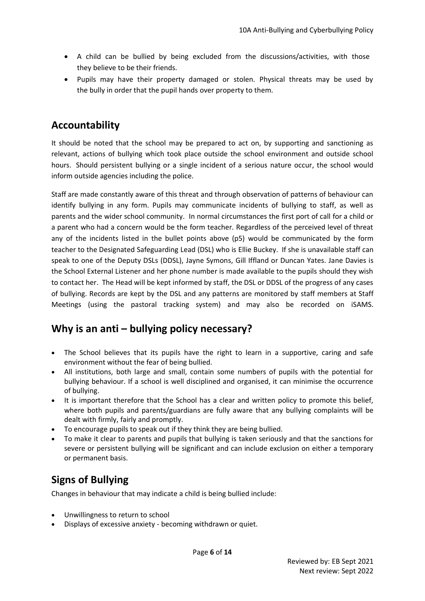- A child can be bullied by being excluded from the discussions/activities, with those they believe to be their friends.
- Pupils may have their property damaged or stolen. Physical threats may be used by the bully in order that the pupil hands over property to them.

### <span id="page-5-0"></span>**Accountability**

It should be noted that the school may be prepared to act on, by supporting and sanctioning as relevant, actions of bullying which took place outside the school environment and outside school hours. Should persistent bullying or a single incident of a serious nature occur, the school would inform outside agencies including the police.

Staff are made constantly aware of this threat and through observation of patterns of behaviour can identify bullying in any form. Pupils may communicate incidents of bullying to staff, as well as parents and the wider school community. In normal circumstances the first port of call for a child or a parent who had a concern would be the form teacher. Regardless of the perceived level of threat any of the incidents listed in the bullet points above (p5) would be communicated by the form teacher to the Designated Safeguarding Lead (DSL) who is Ellie Buckey. If she is unavailable staff can speak to one of the Deputy DSLs (DDSL), Jayne Symons, Gill Iffland or Duncan Yates. Jane Davies is the School External Listener and her phone number is made available to the pupils should they wish to contact her. The Head will be kept informed by staff, the DSL or DDSL of the progress of any cases of bullying. Records are kept by the DSL and any patterns are monitored by staff members at Staff Meetings (using the pastoral tracking system) and may also be recorded on iSAMS.

## **Why is an anti – bullying policy necessary?**

- The School believes that its pupils have the right to learn in a supportive, caring and safe environment without the fear of being bullied.
- All institutions, both large and small, contain some numbers of pupils with the potential for bullying behaviour. If a school is well disciplined and organised, it can minimise the occurrence of bullying.
- It is important therefore that the School has a clear and written policy to promote this belief, where both pupils and parents/guardians are fully aware that any bullying complaints will be dealt with firmly, fairly and promptly.
- To encourage pupils to speak out if they think they are being bullied.
- To make it clear to parents and pupils that bullying is taken seriously and that the sanctions for severe or persistent bullying will be significant and can include exclusion on either a temporary or permanent basis.

## <span id="page-5-1"></span>**Signs of Bullying**

Changes in behaviour that may indicate a child is being bullied include:

- Unwillingness to return to school
- Displays of excessive anxiety becoming withdrawn or quiet.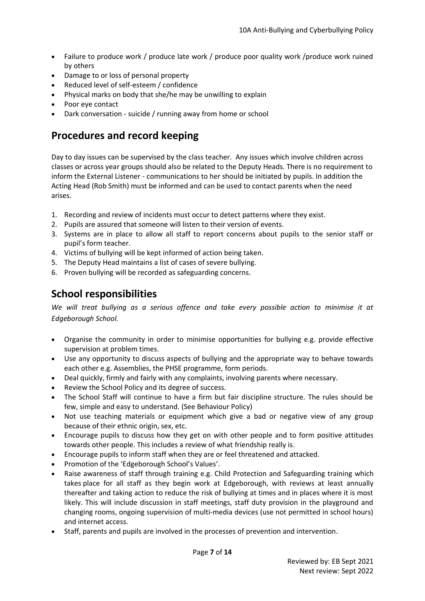- Failure to produce work / produce late work / produce poor quality work / produce work ruined by others
- Damage to or loss of personal property
- Reduced level of self-esteem / confidence
- Physical marks on body that she/he may be unwilling to explain
- Poor eye contact
- Dark conversation suicide / running away from home or school

### <span id="page-6-0"></span>**Procedures and record keeping**

Day to day issues can be supervised by the class teacher. Any issues which involve children across classes or across year groups should also be related to the Deputy Heads. There is no requirement to inform the External Listener - communications to her should be initiated by pupils. In addition the Acting Head (Rob Smith) must be informed and can be used to contact parents when the need arises.

- 1. Recording and review of incidents must occur to detect patterns where they exist.
- 2. Pupils are assured that someone will listen to their version of events.
- 3. Systems are in place to allow all staff to report concerns about pupils to the senior staff or pupil's form teacher.
- 4. Victims of bullying will be kept informed of action being taken.
- 5. The Deputy Head maintains a list of cases of severe bullying.
- 6. Proven bullying will be recorded as safeguarding concerns.

### <span id="page-6-1"></span>**School responsibilities**

*We will treat bullying as a serious offence and take every possible action to minimise it at Edgeborough School.*

- Organise the community in order to minimise opportunities for bullying e.g. provide effective supervision at problem times.
- Use any opportunity to discuss aspects of bullying and the appropriate way to behave towards each other e.g. Assemblies, the PHSE programme, form periods.
- Deal quickly, firmly and fairly with any complaints, involving parents where necessary.
- Review the School Policy and its degree of success.
- The School Staff will continue to have a firm but fair discipline structure. The rules should be few, simple and easy to understand. (See Behaviour Policy)
- Not use teaching materials or equipment which give a bad or negative view of any group because of their ethnic origin, sex, etc.
- Encourage pupils to discuss how they get on with other people and to form positive attitudes towards other people. This includes a review of what friendship really is.
- Encourage pupils to inform staff when they are or feel threatened and attacked.
- Promotion of the 'Edgeborough School's Values'.
- Raise awareness of staff through training e.g. Child Protection and Safeguarding training which takes place for all staff as they begin work at Edgeborough, with reviews at least annually thereafter and taking action to reduce the risk of bullying at times and in places where it is most likely. This will include discussion in staff meetings, staff duty provision in the playground and changing rooms, ongoing supervision of multi-media devices (use not permitted in school hours) and internet access.
- Staff, parents and pupils are involved in the processes of prevention and intervention.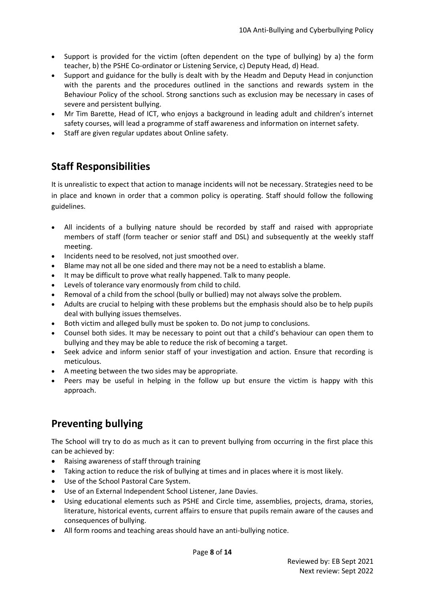- Support is provided for the victim (often dependent on the type of bullying) by a) the form teacher, b) the PSHE Co-ordinator or Listening Service, c) Deputy Head, d) Head.
- Support and guidance for the bully is dealt with by the Headm and Deputy Head in conjunction with the parents and the procedures outlined in the sanctions and rewards system in the Behaviour Policy of the school. Strong sanctions such as exclusion may be necessary in cases of severe and persistent bullying.
- Mr Tim Barette, Head of ICT, who enjoys a background in leading adult and children's internet safety courses, will lead a programme of staff awareness and information on internet safety.
- Staff are given regular updates about Online safety.

## <span id="page-7-0"></span>**Staff Responsibilities**

It is unrealistic to expect that action to manage incidents will not be necessary. Strategies need to be in place and known in order that a common policy is operating. Staff should follow the following guidelines.

- All incidents of a bullying nature should be recorded by staff and raised with appropriate members of staff (form teacher or senior staff and DSL) and subsequently at the weekly staff meeting.
- Incidents need to be resolved, not just smoothed over.
- Blame may not all be one sided and there may not be a need to establish a blame.
- It may be difficult to prove what really happened. Talk to many people.
- Levels of tolerance vary enormously from child to child.
- Removal of a child from the school (bully or bullied) may not always solve the problem.
- Adults are crucial to helping with these problems but the emphasis should also be to help pupils deal with bullying issues themselves.
- Both victim and alleged bully must be spoken to. Do not jump to conclusions.
- Counsel both sides. It may be necessary to point out that a child's behaviour can open them to bullying and they may be able to reduce the risk of becoming a target.
- Seek advice and inform senior staff of your investigation and action. Ensure that recording is meticulous.
- A meeting between the two sides may be appropriate.
- Peers may be useful in helping in the follow up but ensure the victim is happy with this approach.

# <span id="page-7-1"></span>**Preventing bullying**

The School will try to do as much as it can to prevent bullying from occurring in the first place this can be achieved by:

- Raising awareness of staff through training
- Taking action to reduce the risk of bullying at times and in places where it is most likely.
- Use of the School Pastoral Care System.
- Use of an External Independent School Listener, Jane Davies.
- Using educational elements such as PSHE and Circle time, assemblies, projects, drama, stories, literature, historical events, current affairs to ensure that pupils remain aware of the causes and consequences of bullying.
- All form rooms and teaching areas should have an anti-bullying notice.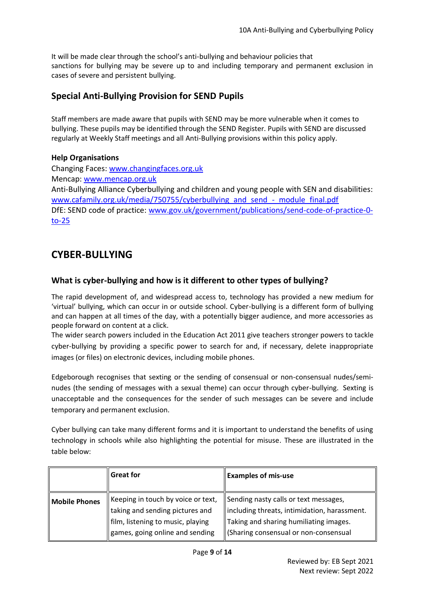It will be made clear through the school's anti-bullying and behaviour policies that sanctions for bullying may be severe up to and including temporary and permanent exclusion in cases of severe and persistent bullying.

#### **Special Anti-Bullying Provision for SEND Pupils**

Staff members are made aware that pupils with SEND may be more vulnerable when it comes to bullying. These pupils may be identified through the SEND Register. Pupils with SEND are discussed regularly at Weekly Staff meetings and all Anti-Bullying provisions within this policy apply.

#### **Help Organisations**

Changing Faces[: www.changingfaces.org.uk](http://www.changingfaces.org.uk/) Mencap: [www.mencap.org.uk](http://www.mencap.org.uk/) Anti-Bullying Alliance Cyberbullying and children and young people with SEN and disabilities: [www.cafamily.org.uk/media/750755/cyberbullying\\_and\\_send\\_-\\_module\\_final.pdf](http://www.cafamily.org.uk/media/750755/cyberbullying_and_send_-_module_final.pdf) DfE: SEND code of practice: [www.gov.uk/government/publications/send-code-of-practice-0](http://www.gov.uk/government/publications/send-code-of-practice-0-%20to-25)  $to-25$ 

### <span id="page-8-0"></span>**CYBER-BULLYING**

#### <span id="page-8-1"></span>**What is cyber-bullying and how is it different to other types of bullying?**

The rapid development of, and widespread access to, technology has provided a new medium for 'virtual' bullying, which can occur in or outside school. Cyber-bullying is a different form of bullying and can happen at all times of the day, with a potentially bigger audience, and more accessories as people forward on content at a click.

The wider search powers included in the Education Act 2011 give teachers stronger powers to tackle cyber-bullying by providing a specific power to search for and, if necessary, delete inappropriate images (or files) on electronic devices, including mobile phones.

Edgeborough recognises that sexting or the sending of consensual or non-consensual nudes/seminudes (the sending of messages with a sexual theme) can occur through cyber-bullying. Sexting is unacceptable and the consequences for the sender of such messages can be severe and include temporary and permanent exclusion.

Cyber bullying can take many different forms and it is important to understand the benefits of using technology in schools while also highlighting the potential for misuse. These are illustrated in the table below:

|                      | <b>Great for</b>                                                                                                                              | <b>Examples of mis-use</b>                                                                                                                                               |
|----------------------|-----------------------------------------------------------------------------------------------------------------------------------------------|--------------------------------------------------------------------------------------------------------------------------------------------------------------------------|
| <b>Mobile Phones</b> | Keeping in touch by voice or text,<br>taking and sending pictures and<br>film, listening to music, playing<br>games, going online and sending | Sending nasty calls or text messages,<br>including threats, intimidation, harassment.<br>Taking and sharing humiliating images.<br>(Sharing consensual or non-consensual |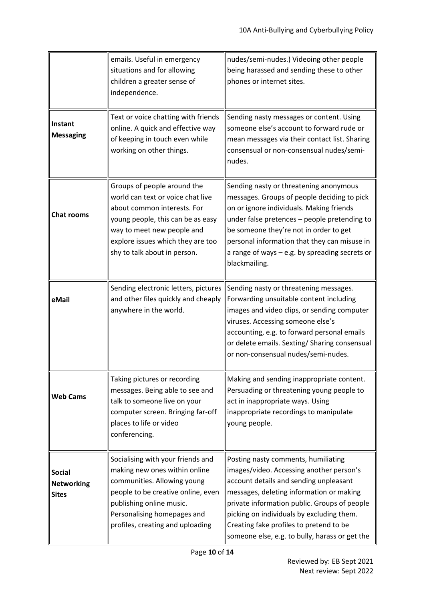|                                                    | emails. Useful in emergency<br>situations and for allowing<br>children a greater sense of<br>independence.                                                                                                                              | nudes/semi-nudes.) Videoing other people<br>being harassed and sending these to other<br>phones or internet sites.                                                                                                                                                                                                                                              |
|----------------------------------------------------|-----------------------------------------------------------------------------------------------------------------------------------------------------------------------------------------------------------------------------------------|-----------------------------------------------------------------------------------------------------------------------------------------------------------------------------------------------------------------------------------------------------------------------------------------------------------------------------------------------------------------|
| Instant<br><b>Messaging</b>                        | Text or voice chatting with friends<br>online. A quick and effective way<br>of keeping in touch even while<br>working on other things.                                                                                                  | Sending nasty messages or content. Using<br>someone else's account to forward rude or<br>mean messages via their contact list. Sharing<br>consensual or non-consensual nudes/semi-<br>nudes.                                                                                                                                                                    |
| <b>Chat rooms</b>                                  | Groups of people around the<br>world can text or voice chat live<br>about common interests. For<br>young people, this can be as easy<br>way to meet new people and<br>explore issues which they are too<br>shy to talk about in person. | Sending nasty or threatening anonymous<br>messages. Groups of people deciding to pick<br>on or ignore individuals. Making friends<br>under false pretences - people pretending to<br>be someone they're not in order to get<br>personal information that they can misuse in<br>a range of ways - e.g. by spreading secrets or<br>blackmailing.                  |
| eMail                                              | Sending electronic letters, pictures<br>and other files quickly and cheaply<br>anywhere in the world.                                                                                                                                   | Sending nasty or threatening messages.<br>Forwarding unsuitable content including<br>images and video clips, or sending computer<br>viruses. Accessing someone else's<br>accounting, e.g. to forward personal emails<br>or delete emails. Sexting/ Sharing consensual<br>or non-consensual nudes/semi-nudes.                                                    |
| <b>Web Cams</b>                                    | Taking pictures or recording<br>messages. Being able to see and<br>talk to someone live on your<br>computer screen. Bringing far-off<br>places to life or video<br>conferencing.                                                        | Making and sending inappropriate content.<br>Persuading or threatening young people to<br>act in inappropriate ways. Using<br>inappropriate recordings to manipulate<br>young people.                                                                                                                                                                           |
| <b>Social</b><br><b>Networking</b><br><b>Sites</b> | Socialising with your friends and<br>making new ones within online<br>communities. Allowing young<br>people to be creative online, even<br>publishing online music.<br>Personalising homepages and<br>profiles, creating and uploading  | Posting nasty comments, humiliating<br>images/video. Accessing another person's<br>account details and sending unpleasant<br>messages, deleting information or making<br>private information public. Groups of people<br>picking on individuals by excluding them.<br>Creating fake profiles to pretend to be<br>someone else, e.g. to bully, harass or get the |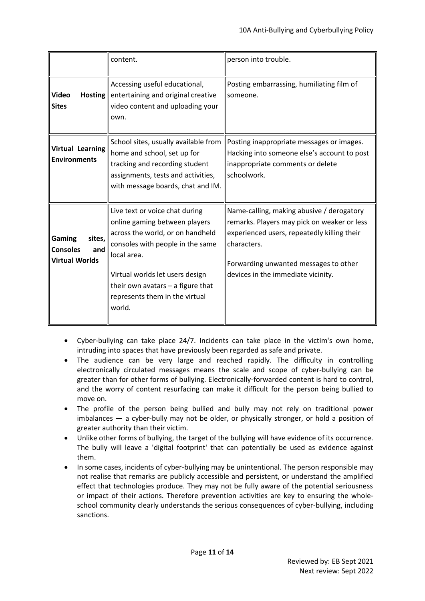|                                                                     | content.                                                                                                                                                                                                                                                                   | person into trouble.                                                                                                                                                                                                                  |
|---------------------------------------------------------------------|----------------------------------------------------------------------------------------------------------------------------------------------------------------------------------------------------------------------------------------------------------------------------|---------------------------------------------------------------------------------------------------------------------------------------------------------------------------------------------------------------------------------------|
| Hosting<br><b>Video</b><br><b>Sites</b>                             | Accessing useful educational,<br>entertaining and original creative<br>video content and uploading your<br>own.                                                                                                                                                            | Posting embarrassing, humiliating film of<br>someone.                                                                                                                                                                                 |
| <b>Virtual Learning</b><br><b>Environments</b>                      | School sites, usually available from<br>home and school, set up for<br>tracking and recording student<br>assignments, tests and activities,<br>with message boards, chat and IM.                                                                                           | Posting inappropriate messages or images.<br>Hacking into someone else's account to post<br>inappropriate comments or delete<br>schoolwork.                                                                                           |
| Gaming<br>sites,<br><b>Consoles</b><br>and<br><b>Virtual Worlds</b> | Live text or voice chat during<br>online gaming between players<br>across the world, or on handheld<br>consoles with people in the same<br>local area.<br>Virtual worlds let users design<br>their own avatars - a figure that<br>represents them in the virtual<br>world. | Name-calling, making abusive / derogatory<br>remarks. Players may pick on weaker or less<br>experienced users, repeatedly killing their<br>characters.<br>Forwarding unwanted messages to other<br>devices in the immediate vicinity. |

- Cyber-bullying can take place 24/7. Incidents can take place in the victim's own home, intruding into spaces that have previously been regarded as safe and private.
- The audience can be very large and reached rapidly. The difficulty in controlling electronically circulated messages means the scale and scope of cyber-bullying can be greater than for other forms of bullying. Electronically-forwarded content is hard to control, and the worry of content resurfacing can make it difficult for the person being bullied to move on.
- The profile of the person being bullied and bully may not rely on traditional power imbalances — a cyber-bully may not be older, or physically stronger, or hold a position of greater authority than their victim.
- Unlike other forms of bullying, the target of the bullying will have evidence of its occurrence. The bully will leave a 'digital footprint' that can potentially be used as evidence against them.
- In some cases, incidents of cyber-bullying may be unintentional. The person responsible may not realise that remarks are publicly accessible and persistent, or understand the amplified effect that technologies produce. They may not be fully aware of the potential seriousness or impact of their actions. Therefore prevention activities are key to ensuring the wholeschool community clearly understands the serious consequences of cyber-bullying, including sanctions.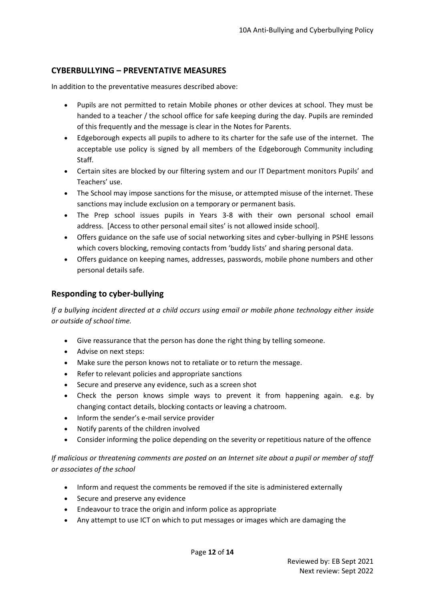#### <span id="page-11-0"></span>**CYBERBULLYING – PREVENTATIVE MEASURES**

In addition to the preventative measures described above:

- Pupils are not permitted to retain Mobile phones or other devices at school. They must be handed to a teacher / the school office for safe keeping during the day. Pupils are reminded of this frequently and the message is clear in the Notes for Parents.
- Edgeborough expects all pupils to adhere to its charter for the safe use of the internet. The acceptable use policy is signed by all members of the Edgeborough Community including Staff.
- Certain sites are blocked by our filtering system and our IT Department monitors Pupils' and Teachers' use.
- The School may impose sanctions for the misuse, or attempted misuse of the internet. These sanctions may include exclusion on a temporary or permanent basis.
- The Prep school issues pupils in Years 3-8 with their own personal school email address. [Access to other personal email sites' is not allowed inside school].
- Offers guidance on the safe use of social networking sites and cyber-bullying in PSHE lessons which covers blocking, removing contacts from 'buddy lists' and sharing personal data.
- Offers guidance on keeping names, addresses, passwords, mobile phone numbers and other personal details safe.

#### <span id="page-11-1"></span>**Responding to cyber-bullying**

*If a bullying incident directed at a child occurs using email or mobile phone technology either inside or outside of school time.* 

- Give reassurance that the person has done the right thing by telling someone.
- Advise on next steps:
- Make sure the person knows not to retaliate or to return the message.
- Refer to relevant policies and appropriate sanctions
- Secure and preserve any evidence, such as a screen shot
- Check the person knows simple ways to prevent it from happening again. e.g. by changing contact details, blocking contacts or leaving a chatroom.
- Inform the sender's e-mail service provider
- Notify parents of the children involved
- Consider informing the police depending on the severity or repetitious nature of the offence

*If malicious or threatening comments are posted on an Internet site about a pupil or member of staff or associates of the school* 

- Inform and request the comments be removed if the site is administered externally
- Secure and preserve any evidence
- Endeavour to trace the origin and inform police as appropriate
- Any attempt to use ICT on which to put messages or images which are damaging the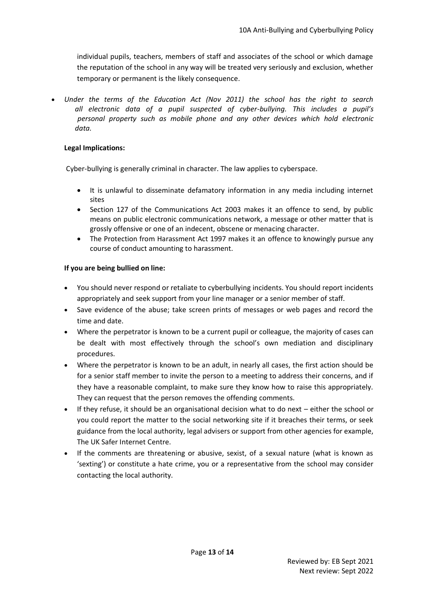individual pupils, teachers, members of staff and associates of the school or which damage the reputation of the school in any way will be treated very seriously and exclusion, whether temporary or permanent is the likely consequence.

• *Under the terms of the Education Act (Nov 2011) the school has the right to search all electronic data of a pupil suspected of cyber-bullying. This includes a pupil's personal property such as mobile phone and any other devices which hold electronic data.*

#### **Legal Implications:**

Cyber-bullying is generally criminal in character. The law applies to cyberspace.

- It is unlawful to disseminate defamatory information in any media including internet sites
- Section 127 of the Communications Act 2003 makes it an offence to send, by public means on public electronic communications network, a message or other matter that is grossly offensive or one of an indecent, obscene or menacing character.
- The Protection from Harassment Act 1997 makes it an offence to knowingly pursue any course of conduct amounting to harassment.

#### **If you are being bullied on line:**

- You should never respond or retaliate to cyberbullying incidents. You should report incidents appropriately and seek support from your line manager or a senior member of staff.
- Save evidence of the abuse; take screen prints of messages or web pages and record the time and date.
- Where the perpetrator is known to be a current pupil or colleague, the majority of cases can be dealt with most effectively through the school's own mediation and disciplinary procedures.
- Where the perpetrator is known to be an adult, in nearly all cases, the first action should be for a senior staff member to invite the person to a meeting to address their concerns, and if they have a reasonable complaint, to make sure they know how to raise this appropriately. They can request that the person removes the offending comments.
- If they refuse, it should be an organisational decision what to do next either the school or you could report the matter to the social networking site if it breaches their terms, or seek guidance from the local authority, legal advisers or support from other agencies for example, The UK Safer Internet Centre.
- If the comments are threatening or abusive, sexist, of a sexual nature (what is known as 'sexting') or constitute a hate crime, you or a representative from the school may consider contacting the local authority.